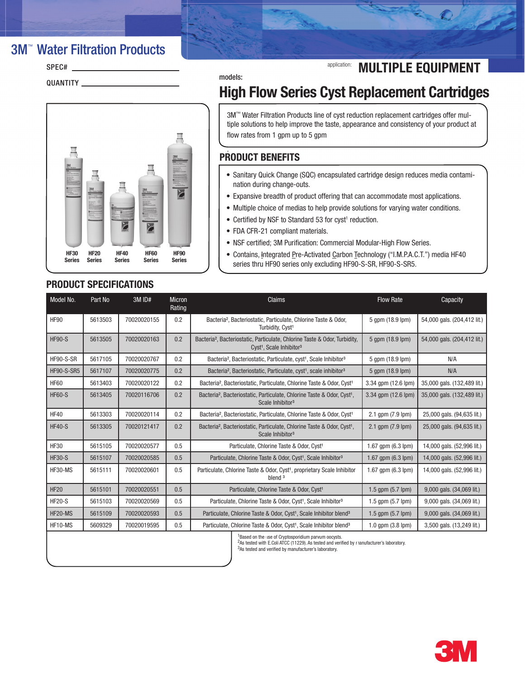# **3M<sup>™</sup> Water Filtration Products**

| SPEC#    |  |
|----------|--|
| QUANTITY |  |



## models: High Flow Series Cyst Replacement Cartridges

application: **MULTIPLE EQUIPMENT** 

3M™ Water Filtration Products line of cyst reduction replacement cartridges offer multiple solutions to help improve the taste, appearance and consistency of your product at flow rates from 1 gpm up to 5 gpm

### PRODUCT BENEFITS .

- • Sanitary Quick Change (SQC) encapsulated cartridge design reduces media contamination during change-outs.
- Expansive breadth of product offering that can accommodate most applications.
- Multiple choice of medias to help provide solutions for varying water conditions.
- Certified by NSF to Standard 53 for cyst<sup>1</sup> reduction.
- FDA CFR-21 compliant materials.
- NSF certified; 3M Purification: Commercial Modular-High Flow Series.
- Contains, Integrated Pre-Activated Carbon Technology ("I.M.P.A.C.T.") media HF40 series thru HF90 series only excluding HF90-S-SR, HF90-S-SR5.

| PRODUCT SPECIFICATIONS |  |
|------------------------|--|
|------------------------|--|

| Model No.                                         | Part No | 3M ID#      | <b>Micron</b><br>Rating | <b>Claims</b>                                                                                                                              | <b>Flow Rate</b>              | Capacity                    |  |
|---------------------------------------------------|---------|-------------|-------------------------|--------------------------------------------------------------------------------------------------------------------------------------------|-------------------------------|-----------------------------|--|
| HF90                                              | 5613503 | 70020020155 | 0.2                     | Bacteria <sup>2</sup> , Bacteriostatic, Particulate, Chlorine Taste & Odor,<br>Turbidity, Cyst <sup>1</sup>                                | 5 qpm (18.9 lpm)              | 54,000 gals. (204,412 lit.) |  |
| <b>HF90-S</b>                                     | 5613505 | 70020020163 | 0.2                     | Bacteria <sup>2</sup> , Bacteriostatic, Particulate, Chlorine Taste & Odor, Turbidity,<br>Cyst <sup>1</sup> , Scale Inhibitor <sup>3</sup> | 5 qpm (18.9 lpm)              | 54,000 gals. (204,412 lit.) |  |
| HF90-S-SR                                         | 5617105 | 70020020767 | 0.2                     | Bacteria <sup>2</sup> , Bacteriostatic, Particulate, cyst <sup>1</sup> , Scale Inhibitor <sup>3</sup>                                      | 5 qpm (18.9 lpm)              | N/A                         |  |
| <b>HF90-S-SR5</b>                                 | 5617107 | 70020020775 | 0.2                     | Bacteria <sup>2</sup> , Bacteriostatic, Particulate, cyst <sup>1</sup> , scale inhibitor <sup>3</sup>                                      | 5 qpm (18.9 lpm)              | N/A                         |  |
| <b>HF60</b>                                       | 5613403 | 70020020122 | 0.2                     | Bacteria <sup>2</sup> , Bacteriostatic, Particulate, Chlorine Taste & Odor, Cyst <sup>1</sup>                                              | 3.34 gpm (12.6 lpm)           | 35,000 gals. (132,489 lit.) |  |
| <b>HF60-S</b>                                     | 5613405 | 70020116706 | 0.2                     | Bacteria <sup>2</sup> , Bacteriostatic, Particulate, Chlorine Taste & Odor, Cyst <sup>1</sup> ,<br>Scale Inhibitor <sup>3</sup>            | 3.34 qpm (12.6 lpm)           | 35,000 gals. (132,489 lit.) |  |
| <b>HF40</b>                                       | 5613303 | 70020020114 | 0.2                     | Bacteria <sup>2</sup> , Bacteriostatic, Particulate, Chlorine Taste & Odor, Cyst <sup>1</sup>                                              | 2.1 gpm (7.9 lpm)             | 25,000 gals. (94,635 lit.)  |  |
| <b>HF40-S</b>                                     | 5613305 | 70020121417 | 0.2                     | Bacteria <sup>2</sup> , Bacteriostatic, Particulate, Chlorine Taste & Odor, Cyst <sup>1</sup> ,<br>Scale Inhibitor <sup>3</sup>            | 2.1 gpm (7.9 lpm)             | 25,000 gals. (94,635 lit.)  |  |
| <b>HF30</b>                                       | 5615105 | 70020020577 | 0.5                     | Particulate, Chlorine Taste & Odor, Cyst <sup>1</sup>                                                                                      | 1.67 gpm (6.3 lpm)            | 14,000 gals. (52,996 lit.)  |  |
| <b>HF30-S</b>                                     | 5615107 | 70020020585 | 0.5                     | Particulate, Chlorine Taste & Odor, Cyst <sup>1</sup> , Scale Inhibitor <sup>3</sup>                                                       | 1.67 gpm (6.3 lpm)            | 14,000 gals. (52,996 lit.)  |  |
| HF30-MS                                           | 5615111 | 70020020601 | 0.5                     | Particulate, Chlorine Taste & Odor, Cyst <sup>1</sup> , proprietary Scale Inhibitor<br>blend <sup>3</sup>                                  | $1.67$ qpm $(6.3$ lpm $)$     | 14,000 gals. (52,996 lit.)  |  |
| <b>HF20</b>                                       | 5615101 | 70020020551 | 0.5                     | Particulate, Chlorine Taste & Odor, Cyst <sup>1</sup>                                                                                      | 1.5 gpm $(5.7 \text{ lpm})$   | 9,000 gals. (34,069 lit.)   |  |
| <b>HF20-S</b>                                     | 5615103 | 70020020569 | 0.5                     | Particulate, Chlorine Taste & Odor, Cyst <sup>1</sup> , Scale Inhibitor <sup>3</sup>                                                       | 1.5 $qpm (5.7$ $lpm)$         | 9,000 gals. (34,069 lit.)   |  |
| HF20-MS                                           | 5615109 | 70020020593 | 0.5                     | Particulate, Chlorine Taste & Odor, Cyst <sup>1</sup> , Scale Inhibitor blend <sup>3</sup>                                                 | 1.5 gpm (5.7 lpm)             | 9,000 gals. (34,069 lit.)   |  |
| HF10-MS                                           | 5609329 | 70020019595 | 0.5                     | Particulate, Chlorine Taste & Odor, Cyst <sup>1</sup> , Scale Inhibitor blend <sup>3</sup>                                                 | $1.0$ qpm $(3.8 \text{ lpm})$ | 3,500 gals. (13,249 lit.)   |  |
| Donad on the use of Componentation nonume consete |         |             |                         |                                                                                                                                            |                               |                             |  |

Based on the use of Cryptosporidium parvum oocysts.

<sup>2</sup>As tested with E.Coli ATCC (11229). As tested and verified by manufacturer's laboratory.

3As tested and verified by manufacturer's laboratory.